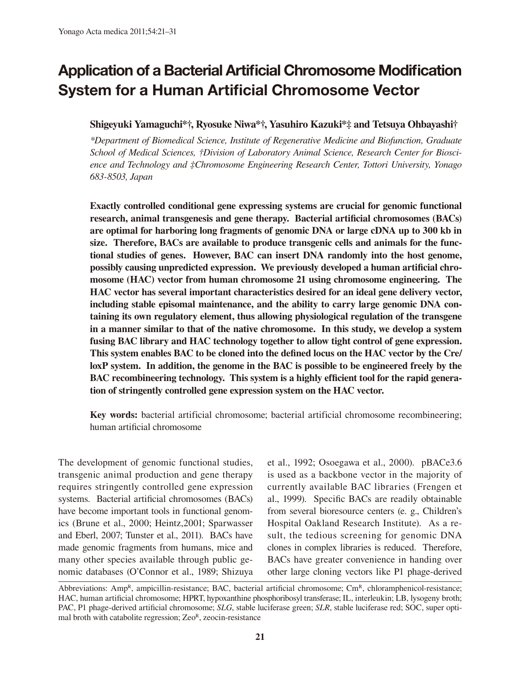# Application of a Bacterial Artificial Chromosome Modification System for a Human Artificial Chromosome Vector

# **Shigeyuki Yamaguchi\*†, Ryosuke Niwa\*†, Yasuhiro Kazuki\*‡ and Tetsuya Ohbayashi†**

*\*Department of Biomedical Science, Institute of Regenerative Medicine and Biofunction, Graduate School of Medical Sciences, †Division of Laboratory Animal Science, Research Center for Bioscience and Technology and ‡Chromosome Engineering Research Center, Tottori University, Yonago 683-8503, Japan*

**Exactly controlled conditional gene expressing systems are crucial for genomic functional research, animal transgenesis and gene therapy. Bacterial artificial chromosomes (BACs) are optimal for harboring long fragments of genomic DNA or large cDNA up to 300 kb in size. Therefore, BACs are available to produce transgenic cells and animals for the functional studies of genes. However, BAC can insert DNA randomly into the host genome, possibly causing unpredicted expression. We previously developed a human artificial chromosome (HAC) vector from human chromosome 21 using chromosome engineering. The HAC vector has several important characteristics desired for an ideal gene delivery vector, including stable episomal maintenance, and the ability to carry large genomic DNA containing its own regulatory element, thus allowing physiological regulation of the transgene in a manner similar to that of the native chromosome. In this study, we develop a system fusing BAC library and HAC technology together to allow tight control of gene expression. This system enables BAC to be cloned into the defined locus on the HAC vector by the Cre/ loxP system. In addition, the genome in the BAC is possible to be engineered freely by the BAC recombineering technology. This system is a highly efficient tool for the rapid generation of stringently controlled gene expression system on the HAC vector.**

**Key words:** bacterial artificial chromosome; bacterial artificial chromosome recombineering; human artificial chromosome

The development of genomic functional studies, transgenic animal production and gene therapy requires stringently controlled gene expression systems. Bacterial artificial chromosomes (BACs) have become important tools in functional genomics (Brune et al., 2000; Heintz,2001; Sparwasser and Eberl, 2007; Tunster et al., 2011). BACs have made genomic fragments from humans, mice and many other species available through public genomic databases (O'Connor et al., 1989; Shizuya et al., 1992; Osoegawa et al., 2000). pBACe3.6 is used as a backbone vector in the majority of currently available BAC libraries (Frengen et al., 1999). Specific BACs are readily obtainable from several bioresource centers (e. g., Children's Hospital Oakland Research Institute). As a result, the tedious screening for genomic DNA clones in complex libraries is reduced. Therefore, BACs have greater convenience in handing over other large cloning vectors like P1 phage-derived

Abbreviations: AmpR, ampicillin-resistance; BAC, bacterial artificial chromosome;  $\text{Cm}^R$ , chloramphenicol-resistance; HAC, human artificial chromosome; HPRT, hypoxanthine phosphoribosyl transferase; IL, interleukin; LB, lysogeny broth; PAC, P1 phage-derived artificial chromosome; *SLG*, stable luciferase green; *SLR*, stable luciferase red; SOC, super optimal broth with catabolite regression;  $Ze0^R$ , zeocin-resistance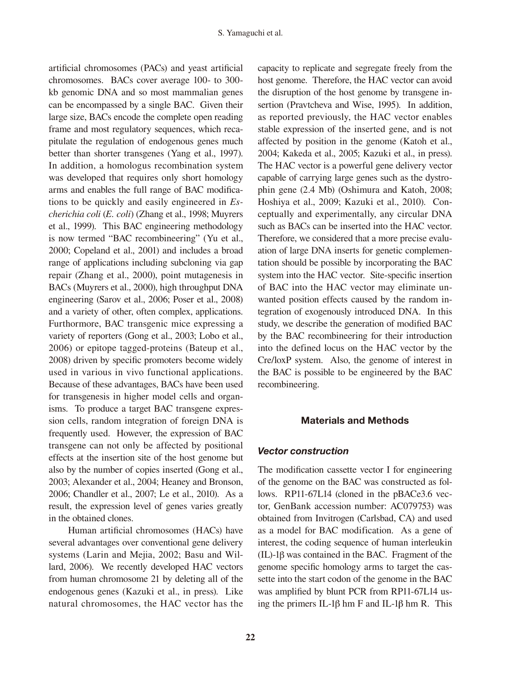artificial chromosomes (PACs) and yeast artificial chromosomes. BACs cover average 100- to 300 kb genomic DNA and so most mammalian genes can be encompassed by a single BAC. Given their large size, BACs encode the complete open reading frame and most regulatory sequences, which recapitulate the regulation of endogenous genes much better than shorter transgenes (Yang et al., 1997). In addition, a homologus recombination system was developed that requires only short homology arms and enables the full range of BAC modifications to be quickly and easily engineered in *Escherichia coli* (*E. coli*) (Zhang et al., 1998; Muyrers et al., 1999). This BAC engineering methodology is now termed "BAC recombineering" (Yu et al., 2000; Copeland et al., 2001) and includes a broad range of applications including subcloning via gap repair (Zhang et al., 2000), point mutagenesis in BACs (Muyrers et al., 2000), high throughput DNA engineering (Sarov et al., 2006; Poser et al., 2008) and a variety of other, often complex, applications. Furthormore, BAC transgenic mice expressing a variety of reporters (Gong et al., 2003; Lobo et al., 2006) or epitope tagged-proteins (Bateup et al., 2008) driven by specific promoters become widely used in various in vivo functional applications. Because of these advantages, BACs have been used for transgenesis in higher model cells and organisms. To produce a target BAC transgene expression cells, random integration of foreign DNA is frequently used. However, the expression of BAC transgene can not only be affected by positional effects at the insertion site of the host genome but also by the number of copies inserted (Gong et al., 2003; Alexander et al., 2004; Heaney and Bronson, 2006; Chandler et al., 2007; Le et al., 2010). As a result, the expression level of genes varies greatly in the obtained clones.

 Human artificial chromosomes (HACs) have several advantages over conventional gene delivery systems (Larin and Mejia, 2002; Basu and Willard, 2006). We recently developed HAC vectors from human chromosome 21 by deleting all of the endogenous genes (Kazuki et al., in press). Like natural chromosomes, the HAC vector has the capacity to replicate and segregate freely from the host genome. Therefore, the HAC vector can avoid the disruption of the host genome by transgene insertion (Pravtcheva and Wise, 1995). In addition, as reported previously, the HAC vector enables stable expression of the inserted gene, and is not affected by position in the genome (Katoh et al., 2004; Kakeda et al., 2005; Kazuki et al., in press). The HAC vector is a powerful gene delivery vector capable of carrying large genes such as the dystrophin gene (2.4 Mb) (Oshimura and Katoh, 2008; Hoshiya et al., 2009; Kazuki et al., 2010). Conceptually and experimentally, any circular DNA such as BACs can be inserted into the HAC vector. Therefore, we considered that a more precise evaluation of large DNA inserts for genetic complementation should be possible by incorporating the BAC system into the HAC vector. Site-specific insertion of BAC into the HAC vector may eliminate unwanted position effects caused by the random integration of exogenously introduced DNA. In this study, we describe the generation of modified BAC by the BAC recombineering for their introduction into the defined locus on the HAC vector by the Cre/loxP system. Also, the genome of interest in the BAC is possible to be engineered by the BAC recombineering.

### Materials and Methods

### *Vector construction*

The modification cassette vector I for engineering of the genome on the BAC was constructed as follows. RP11-67L14 (cloned in the pBACe3.6 vector, GenBank accession number: AC079753) was obtained from Invitrogen (Carlsbad, CA) and used as a model for BAC modification. As a gene of interest, the coding sequence of human interleukin  $(IL)$ -1 $\beta$  was contained in the BAC. Fragment of the genome specific homology arms to target the cassette into the start codon of the genome in the BAC was amplified by blunt PCR from RP11-67L14 using the primers IL-1 $\beta$  hm F and IL-1 $\beta$  hm R. This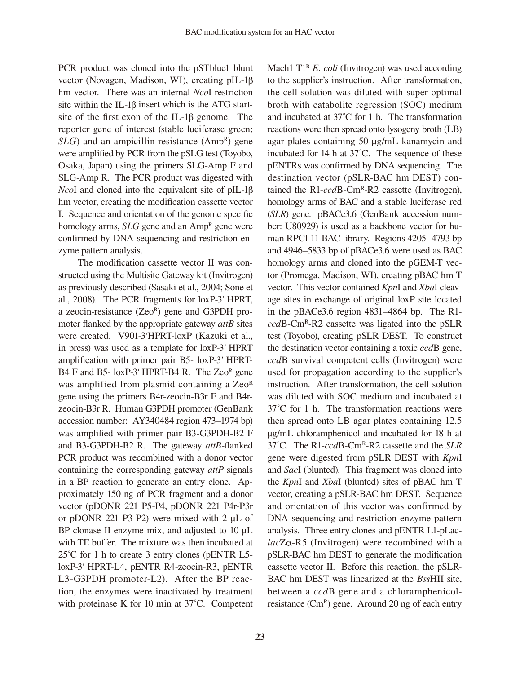PCR product was cloned into the pSTblue1 blunt vector (Novagen, Madison, WI), creating pIL-1 hm vector. There was an internal *Nco*I restriction site within the IL-1 $\beta$  insert which is the ATG startsite of the first exon of the IL-1 $\beta$  genome. The reporter gene of interest (stable luciferase green; *SLG*) and an ampicillin-resistance (Amp<sup>R</sup>) gene were amplified by PCR from the pSLG test (Toyobo, Osaka, Japan) using the primers SLG-Amp F and SLG-Amp R. The PCR product was digested with *NcoI* and cloned into the equivalent site of pIL-1 $\beta$ hm vector, creating the modification cassette vector I. Sequence and orientation of the genome specific homology arms, *SLG* gene and an Amp<sup>R</sup> gene were confirmed by DNA sequencing and restriction enzyme pattern analysis.

 The modification cassette vector II was constructed using the Multisite Gateway kit (Invitrogen) as previously described (Sasaki et al., 2004; Sone et al., 2008). The PCR fragments for loxP-3*'* HPRT, a zeocin-resistance  $(Ze0^R)$  gene and G3PDH promoter flanked by the appropriate gateway *attB* sites were created. V901-3*'*HPRT-loxP (Kazuki et al., in press) was used as a template for loxP-3*'* HPRT amplification with primer pair B5- loxP-3*'* HPRT-B4 F and B5- loxP-3' HPRT-B4 R. The Zeo<sup>R</sup> gene was amplified from plasmid containing a Zeo<sup>R</sup> gene using the primers B4r-zeocin-B3r F and B4rzeocin-B3r R. Human G3PDH promoter (GenBank accession number: AY340484 region 473–1974 bp) was amplified with primer pair B3-G3PDH-B2 F and B3-G3PDH-B2 R. The gateway *attB*-flanked PCR product was recombined with a donor vector containing the corresponding gateway *attP* signals in a BP reaction to generate an entry clone. Approximately 150 ng of PCR fragment and a donor vector (pDONR 221 P5-P4, pDONR 221 P4r-P3r or pDONR 221 P3-P2) were mixed with 2 μL of BP clonase II enzyme mix, and adjusted to 10 μL with TE buffer. The mixture was then incubated at 25˚C for 1 h to create 3 entry clones (pENTR L5 loxP-3*'* HPRT-L4, pENTR R4-zeocin-R3, pENTR L3-G3PDH promoter-L2). After the BP reaction, the enzymes were inactivated by treatment with proteinase K for 10 min at 37˚C. Competent Mach1 T1<sup>R</sup> *E. coli* (Invitrogen) was used according to the supplier's instruction. After transformation, the cell solution was diluted with super optimal broth with catabolite regression (SOC) medium and incubated at 37˚C for 1 h. The transformation reactions were then spread onto lysogeny broth (LB) agar plates containing 50 μg/mL kanamycin and incubated for 14 h at 37˚C. The sequence of these pENTRs was confirmed by DNA sequencing. The destination vector (pSLR-BAC hm DEST) contained the R1-*ccd*B-CmR-R2 cassette (Invitrogen), homology arms of BAC and a stable luciferase red (*SLR*) gene. pBACe3.6 (GenBank accession number: U80929) is used as a backbone vector for human RPCI-11 BAC library. Regions 4205–4793 bp and 4946–5833 bp of pBACe3.6 were used as BAC homology arms and cloned into the pGEM-T vector (Promega, Madison, WI), creating pBAC hm T vector. This vector contained *Kpn*I and *Xba*I cleavage sites in exchange of original loxP site located in the pBACe3.6 region 4831–4864 bp. The R1 *ccd*B-CmR-R2 cassette was ligated into the pSLR test (Toyobo), creating pSLR DEST. To construct the destination vector containing a toxic *ccd*B gene, *ccd*B survival competent cells (Invitrogen) were used for propagation according to the supplier's instruction. After transformation, the cell solution was diluted with SOC medium and incubated at 37˚C for 1 h. The transformation reactions were then spread onto LB agar plates containing 12.5 μg/mL chloramphenicol and incubated for 18 h at 37˚C. The R1-*ccd*B-CmR-R2 cassette and the *SLR* gene were digested from pSLR DEST with *Kpn*I and *Sac*I (blunted). This fragment was cloned into the *Kpn*I and *Xba*I (blunted) sites of pBAC hm T vector, creating a pSLR-BAC hm DEST. Sequence and orientation of this vector was confirmed by DNA sequencing and restriction enzyme pattern analysis. Three entry clones and pENTR L1-pLac $lacZ\alpha$ -R5 (Invitrogen) were recombined with a pSLR-BAC hm DEST to generate the modification cassette vector II. Before this reaction, the pSLR-BAC hm DEST was linearized at the *Bss*HII site, between a *ccd*B gene and a chloramphenicolresistance  $(Cm<sup>R</sup>)$  gene. Around 20 ng of each entry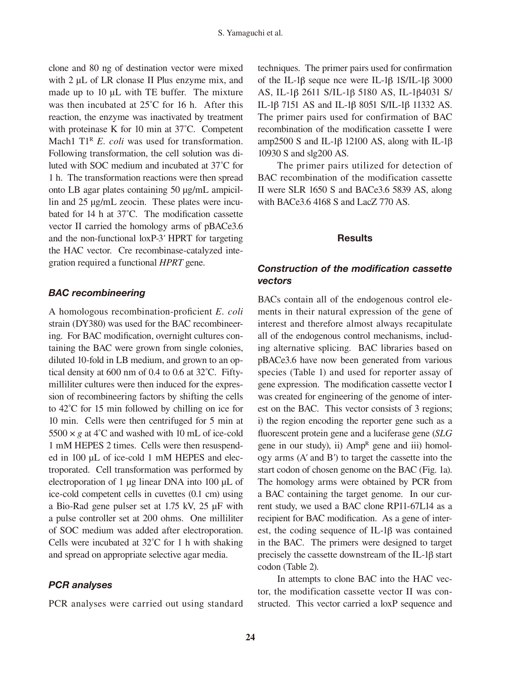clone and 80 ng of destination vector were mixed with 2 μL of LR clonase II Plus enzyme mix, and made up to 10 μL with TE buffer. The mixture was then incubated at 25°C for 16 h. After this reaction, the enzyme was inactivated by treatment with proteinase K for 10 min at 37˚C. Competent Mach1 T1<sup>R</sup> *E. coli* was used for transformation. Following transformation, the cell solution was diluted with SOC medium and incubated at 37˚C for 1 h. The transformation reactions were then spread onto LB agar plates containing 50 μg/mL ampicillin and 25 μg/mL zeocin. These plates were incubated for 14 h at 37˚C. The modification cassette vector II carried the homology arms of pBACe3.6 and the non-functional loxP-3*'* HPRT for targeting the HAC vector. Cre recombinase-catalyzed integration required a functional *HPRT* gene.

## *BAC recombineering*

A homologous recombination-proficient *E. coli* strain (DY380) was used for the BAC recombineering. For BAC modification, overnight cultures containing the BAC were grown from single colonies, diluted 10-fold in LB medium, and grown to an optical density at 600 nm of 0.4 to 0.6 at 32˚C. Fiftymilliliter cultures were then induced for the expression of recombineering factors by shifting the cells to 42˚C for 15 min followed by chilling on ice for 10 min. Cells were then centrifuged for 5 min at  $5500 \times g$  at 4<sup>°</sup>C and washed with 10 mL of ice-cold 1 mM HEPES 2 times. Cells were then resuspended in 100 μL of ice-cold 1 mM HEPES and electroporated. Cell transformation was performed by electroporation of 1 μg linear DNA into 100 μL of ice-cold competent cells in cuvettes (0.1 cm) using a Bio-Rad gene pulser set at 1.75 kV, 25 μF with a pulse controller set at 200 ohms. One milliliter of SOC medium was added after electroporation. Cells were incubated at 32˚C for 1 h with shaking and spread on appropriate selective agar media.

# *PCR analyses*

PCR analyses were carried out using standard

techniques. The primer pairs used for confirmation of the IL-1 $\beta$  seque nce were IL-1 $\beta$  1S/IL-1 $\beta$  3000 AS, IL-1β 2611 S/IL-1β 5180 AS, IL-1β4031 S/ IL-1β 7151 AS and IL-1β 8051 S/IL-1β 11332 AS. The primer pairs used for confirmation of BAC recombination of the modification cassette I were amp2500 S and IL-1 $\beta$  12100 AS, along with IL-1 $\beta$ 10930 S and slg200 AS.

 The primer pairs utilized for detection of BAC recombination of the modification cassette II were SLR 1650 S and BACe3.6 5839 AS, along with BACe3.6 4168 S and LacZ 770 AS.

# **Results**

# *Construction of the modification cassette vectors*

BACs contain all of the endogenous control elements in their natural expression of the gene of interest and therefore almost always recapitulate all of the endogenous control mechanisms, including alternative splicing. BAC libraries based on pBACe3.6 have now been generated from various species (Table 1) and used for reporter assay of gene expression. The modification cassette vector I was created for engineering of the genome of interest on the BAC. This vector consists of 3 regions; i) the region encoding the reporter gene such as a fluorescent protein gene and a luciferase gene (*SLG* gene in our study), ii)  $Amp^R$  gene and iii) homology arms (A*'* and B*'*) to target the cassette into the start codon of chosen genome on the BAC (Fig. 1a). The homology arms were obtained by PCR from a BAC containing the target genome. In our current study, we used a BAC clone RP11-67L14 as a recipient for BAC modification. As a gene of interest, the coding sequence of IL-1 $\beta$  was contained in the BAC. The primers were designed to target precisely the cassette downstream of the IL-1 $\beta$  start codon (Table 2).

 In attempts to clone BAC into the HAC vector, the modification cassette vector II was constructed. This vector carried a loxP sequence and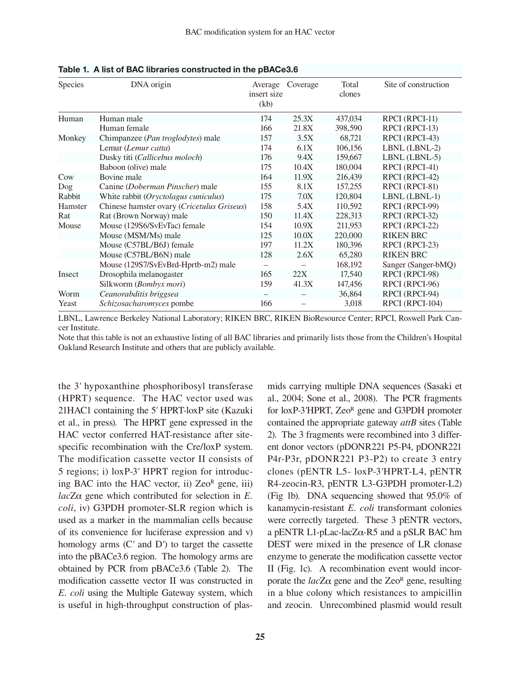| <b>Species</b> | DNA origin                                 | Average<br>insert size<br>(kb) | Coverage | Total<br>clones | Site of construction |
|----------------|--------------------------------------------|--------------------------------|----------|-----------------|----------------------|
| Human          | Human male                                 | 174                            | 25.3X    | 437,034         | RPCI (RPCI-11)       |
|                | Human female                               | 166                            | 21.8X    | 398,590         | RPCI (RPCI-13)       |
| Monkey         | Chimpanzee (Pan troglodytes) male          | 157                            | 3.5X     | 68,721          | RPCI (RPCI-43)       |
|                | Lemur (Lemur catta)                        | 174                            | 6.1X     | 106,156         | LBNL (LBNL-2)        |
|                | Dusky titi (Callicebus moloch)             | 176                            | 9.4X     | 159,667         | LBNL (LBNL-5)        |
|                | Baboon (olive) male                        | 175                            | 10.4X    | 180,004         | RPCI (RPCI-41)       |
| Cow            | Bovine male                                | 164                            | 11.9X    | 216,439         | RPCI (RPCI-42)       |
| Dog            | Canine (Doberman Pinscher) male            | 155                            | 8.1X     | 157,255         | RPCI (RPCI-81)       |
| Rabbit         | White rabbit (Oryctolagus cuniculus)       | 175                            | 7.0X     | 120,804         | LBNL (LBNL-1)        |
| Hamster        | Chinese hamster ovary (Cricetulus Griseus) | 158                            | 5.4X     | 110,592         | RPCI (RPCI-99)       |
| Rat            | Rat (Brown Norway) male                    | 150                            | 11.4X    | 228,313         | RPCI (RPCI-32)       |
| Mouse          | Mouse (129S6/SvEvTac) female               | 154                            | 10.9X    | 211,953         | RPCI (RPCI-22)       |
|                | Mouse (MSM/Ms) male                        | 125                            | 10.0X    | 220,000         | <b>RIKEN BRC</b>     |
|                | Mouse (C57BL/B6J) female                   | 197                            | 11.2X    | 180,396         | RPCI (RPCI-23)       |
|                | Mouse (C57BL/B6N) male                     | 128                            | 2.6X     | 65,280          | <b>RIKEN BRC</b>     |
|                | Mouse (129S7/SvEvBrd-Hprtb-m2) male        | -                              |          | 168,192         | Sanger (Sanger-bMQ)  |
| Insect         | Drosophila melanogaster                    | 165                            | 22X      | 17,540          | RPCI (RPCI-98)       |
|                | Silkworm (Bombyx mori)                     | 159                            | 41.3X    | 147,456         | RPCI (RPCI-96)       |
| Worm           | Ceanorabditis briggsea                     |                                |          | 36,864          | RPCI (RPCI-94)       |
| Yeast          | Schizosacharomyces pombe                   | 166                            |          | 3,018           | RPCI (RPCI-104)      |

Table 1. A list of BAC libraries constructed in the pBACe3.6

LBNL, Lawrence Berkeley National Laboratory; RIKEN BRC, RIKEN BioResource Center; RPCI, Roswell Park Cancer Institute.

Note that this table is not an exhaustive listing of all BAC libraries and primarily lists those from the Children's Hospital Oakland Research Institute and others that are publicly available.

the 3*'* hypoxanthine phosphoribosyl transferase (HPRT) sequence. The HAC vector used was 21HAC1 containing the 5*'* HPRT-loxP site (Kazuki et al., in press). The HPRT gene expressed in the HAC vector conferred HAT-resistance after sitespecific recombination with the Cre/loxP system. The modification cassette vector II consists of 5 regions; i) loxP-3*'* HPRT region for introducing BAC into the HAC vector, ii)  $Ze0^R$  gene, iii)  $lacZ\alpha$  gene which contributed for selection in  $E$ . *coli*, iv) G3PDH promoter-SLR region which is used as a marker in the mammalian cells because of its convenience for luciferase expression and v) homology arms (C*'* and D*'*) to target the cassette into the pBACe3.6 region. The homology arms are obtained by PCR from pBACe3.6 (Table 2). The modification cassette vector II was constructed in *E. coli* using the Multiple Gateway system, which is useful in high-throughput construction of plasmids carrying multiple DNA sequences (Sasaki et al., 2004; Sone et al., 2008). The PCR fragments for loxP-3'HPRT, Zeo<sup>R</sup> gene and G3PDH promoter contained the appropriate gateway *attB* sites (Table 2). The 3 fragments were recombined into 3 different donor vectors (pDONR221 P5-P4, pDONR221 P4r-P3r, pDONR221 P3-P2) to create 3 entry clones (pENTR L5- loxP-3*'*HPRT-L4, pENTR R4-zeocin-R3, pENTR L3-G3PDH promoter-L2) (Fig 1b). DNA sequencing showed that 95.0% of kanamycin-resistant *E. coli* transformant colonies were correctly targeted. These 3 pENTR vectors, a pENTR L1-pLac-lac $Z\alpha$ -R5 and a pSLR BAC hm DEST were mixed in the presence of LR clonase enzyme to generate the modification cassette vector II (Fig. 1c). A recombination event would incorporate the  $lacZ\alpha$  gene and the Zeo<sup>R</sup> gene, resulting in a blue colony which resistances to ampicillin and zeocin. Unrecombined plasmid would result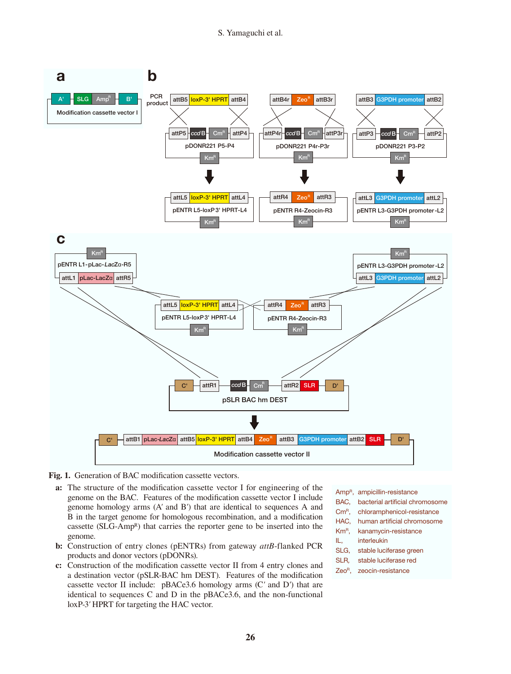#### S. Yamaguchi et al.



#### Fig. 1. Generation of BAC modification cassette vectors.

- **a:** The structure of the modification cassette vector I for engineering of the genome on the BAC. Features of the modification cassette vector I include genome homology arms (A*'* and B*'*) that are identical to sequences A and B in the target genome for homologous recombination, and a modification cassette (SLG-AmpR) that carries the reporter gene to be inserted into the genome.
- **b:** Construction of entry clones (pENTRs) from gateway *attB*-flanked PCR products and donor vectors (pDONRs).
- **c:** Construction of the modification cassette vector II from 4 entry clones and a destination vector (pSLR-BAC hm DEST). Features of the modification cassette vector II include: pBACe3.6 homology arms (C*'* and D*'*) that are identical to sequences C and D in the pBACe3.6, and the non-functional loxP-3*'* HPRT for targeting the HAC vector.
- AmpR, ampicillin-resistance
- BAC, bacterial artificial chromosome
- CmR, chloramphenicol-resistance
- HAC, human artificial chromosome
- KmR, kanamycin-resistance
- IL, interleukin
- SLG, stable luciferase green
- SLR*,* stable luciferase red
- ZeoR, zeocin-resistance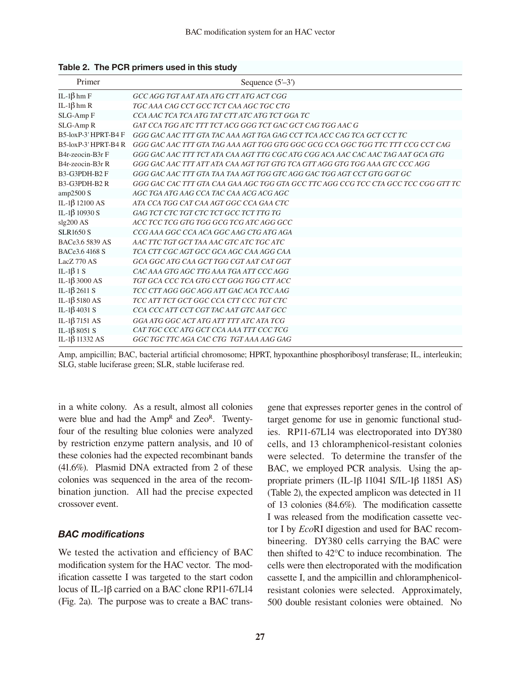| Primer                                     | Sequence $(5-3)$                                                                   |  |  |  |  |
|--------------------------------------------|------------------------------------------------------------------------------------|--|--|--|--|
| IL-1 $\beta$ hm F                          | GCC AGG TGT AAT ATA ATG CTT ATG ACT CGG                                            |  |  |  |  |
| IL-1 $\beta$ hm R                          | TGC AAA CAG CCT GCC TCT CAA AGC TGC CTG                                            |  |  |  |  |
| SLG-Amp F                                  | CCA AAC TCA TCA ATG TAT CTT ATC ATG TCT GGA TC                                     |  |  |  |  |
| SLG-Amp R                                  | GAT CCA TGG ATC TTT TCT ACG GGG TCT GAC GCT CAG TGG AAC G                          |  |  |  |  |
| B5-loxP-3' HPRT-B4 F                       | GGG GAC AAC TTT GTA TAC AAA AGT TGA GAG CCT TCA ACC CAG TCA GCT CCT TC             |  |  |  |  |
| B5-loxP-3' HPRT-B4 R                       | GGG GAC AAC TTT GTA TAG AAA AGT TGG GTG GGC GCG CCA GGC TGG TTC TTT CCG CCT CAG    |  |  |  |  |
| B4r-zeocin-B3r F                           | GGG GAC AAC TTT TCT ATA CAA AGT TTG CGC ATG CGG ACA AAC CAC AAC TAG AAT GCA GTG    |  |  |  |  |
| B <sub>4</sub> r-zeocin-B <sub>3</sub> r R | GGG GAC AAC TTT ATT ATA CAA AGT TGT GTG TCA GTT AGG GTG TGG AAA GTC CCC AGG        |  |  |  |  |
| B3-G3PDH-B2 F                              | GGG GAC AAC TTT GTA TAA TAA AGT TGG GTC AGG GAC TGG AGT CCT GTG GGT GC             |  |  |  |  |
| B3-G3PDH-B2R                               | GGG GAC CAC TTT GTA CAA GAA AGC TGG GTA GCC TTC AGG CCG TCC CTA GCC TCC CGG GTT TC |  |  |  |  |
| amp2500 S                                  | AGC TGA ATG AAG CCA TAC CAA ACG ACG AGC                                            |  |  |  |  |
| IL-1 $\beta$ 12100 AS                      | ATA CCA TGG CAT CAA AGT GGC CCA GAA CTC                                            |  |  |  |  |
| IL-1 $\beta$ 10930 S                       | GAG TCT CTC TGT CTC TCT GCC TCT TTG TG                                             |  |  |  |  |
| slg200 AS                                  | ACC TCC TCG GTG TGG GCG TCG ATC AGG GCC                                            |  |  |  |  |
| <b>SLR1650 S</b>                           | CCG AAA GGC CCA ACA GGC AAG CTG ATG AGA                                            |  |  |  |  |
| BACe3.6 5839 AS                            | AAC TTC TGT GCT TAA AAC GTC ATC TGC ATC                                            |  |  |  |  |
| BACe3.6 4168 S                             | TCA CTT CGC AGT GCC GCA AGC CAA AGG CAA                                            |  |  |  |  |
| LacZ 770 AS                                | GCA GGC ATG CAA GCT TGG CGT AAT CAT GGT                                            |  |  |  |  |
| IL-1 $\beta$ 1 S                           | CAC AAA GTG AGC TTG AAA TGA ATT CCC AGG                                            |  |  |  |  |
| IL-1 $\beta$ 3000 AS                       | TGT GCA CCC TCA GTG CCT GGG TGG CTT ACC                                            |  |  |  |  |
| IL-1 $\beta$ 2611 S                        | TCC CTT AGG GGC AGG ATT GAC ACA TCC AAG                                            |  |  |  |  |
| IL-1 $\beta$ 5180 AS                       | TCC ATT TCT GCT GGC CCA CTT CCC TGT CTC                                            |  |  |  |  |
| IL-1 $\beta$ 4031 S                        | CCA CCC ATT CCT CGT TAC AAT GTC AAT GCC                                            |  |  |  |  |
| IL-1 $\beta$ 7151 AS                       | GGA ATG GGC ACT ATG ATT TTT ATC ATA TCG                                            |  |  |  |  |
| IL-1 $\beta$ 8051 S                        | CAT TGC CCC ATG GCT CCA AAA TTT CCC TCG                                            |  |  |  |  |
| IL-1 $\beta$ 11332 AS                      | GGC TGC TTC AGA CAC CTG TGT AAA AAG GAG                                            |  |  |  |  |

Table 2. The PCR primers used in this study

Amp, ampicillin; BAC, bacterial artificial chromosome; HPRT, hypoxanthine phosphoribosyl transferase; IL, interleukin; SLG, stable luciferase green; SLR, stable luciferase red.

in a white colony. As a result, almost all colonies were blue and had the Amp<sup>R</sup> and Zeo<sup>R</sup>. Twentyfour of the resulting blue colonies were analyzed by restriction enzyme pattern analysis, and 10 of these colonies had the expected recombinant bands (41.6%). Plasmid DNA extracted from 2 of these colonies was sequenced in the area of the recombination junction. All had the precise expected crossover event.

# *BAC modifications*

We tested the activation and efficiency of BAC modification system for the HAC vector. The modification cassette I was targeted to the start codon locus of IL-1 $\beta$  carried on a BAC clone RP11-67L14 (Fig. 2a). The purpose was to create a BAC transgene that expresses reporter genes in the control of target genome for use in genomic functional studies. RP11-67L14 was electroporated into DY380 cells, and 13 chloramphenicol-resistant colonies were selected. To determine the transfer of the BAC, we employed PCR analysis. Using the appropriate primers (IL-1 $\beta$  11041 S/IL-1 $\beta$  11851 AS) (Table 2), the expected amplicon was detected in 11 of 13 colonies (84.6%). The modification cassette I was released from the modification cassette vector I by *Eco*RI digestion and used for BAC recombineering. DY380 cells carrying the BAC were then shifted to 42°C to induce recombination. The cells were then electroporated with the modification cassette I, and the ampicillin and chloramphenicolresistant colonies were selected. Approximately, 500 double resistant colonies were obtained. No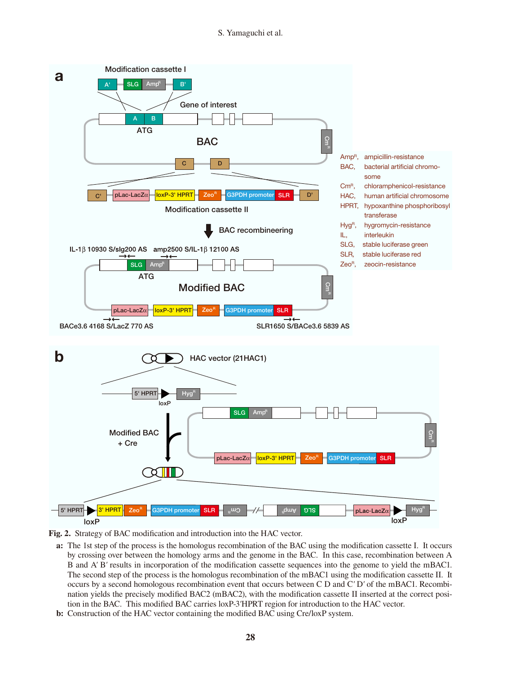S. Yamaguchi et al.





**a:** The 1st step of the process is the homologus recombination of the BAC using the modification cassette I. It occurs by crossing over between the homology arms and the genome in the BAC. In this case, recombination between A B and A*'* B*'* results in incorporation of the modification cassette sequences into the genome to yield the mBAC1. The second step of the process is the homologus recombination of the mBAC1 using the modification cassette II. It occurs by a second homologous recombination event that occurs between C D and C*'* D*'* of the mBAC1. Recombination yields the precisely modified BAC2 (mBAC2), with the modification cassette II inserted at the correct position in the BAC. This modified BAC carries loxP-3*'*HPRT region for introduction to the HAC vector.

**b:** Construction of the HAC vector containing the modified BAC using Cre/loxP system.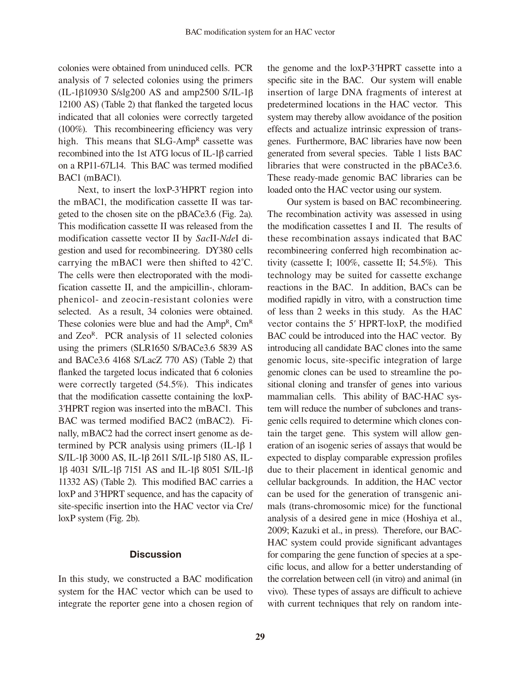colonies were obtained from uninduced cells. PCR analysis of 7 selected colonies using the primers  $(IL-1\beta 10930 S/slg200 AS and amp2500 S/IL-1\beta$ 12100 AS) (Table 2) that flanked the targeted locus indicated that all colonies were correctly targeted (100%). This recombineering efficiency was very high. This means that SLG-Amp<sup>R</sup> cassette was recombined into the 1st ATG locus of IL-1 $\beta$  carried on a RP11-67L14. This BAC was termed modified BAC1 (mBAC1).

 Next, to insert the loxP-3*'*HPRT region into the mBAC1, the modification cassette II was targeted to the chosen site on the pBACe3.6 (Fig. 2a). This modification cassette II was released from the modification cassette vector II by *Sac*II-*Nde*I digestion and used for recombineering. DY380 cells carrying the mBAC1 were then shifted to 42˚C. The cells were then electroporated with the modification cassette II, and the ampicillin-, chloramphenicol- and zeocin-resistant colonies were selected. As a result, 34 colonies were obtained. These colonies were blue and had the  $Amp^R$ ,  $Cm^R$ and ZeoR. PCR analysis of 11 selected colonies using the primers (SLR1650 S/BACe3.6 5839 AS and BACe3.6 4168 S/LacZ 770 AS) (Table 2) that flanked the targeted locus indicated that 6 colonies were correctly targeted (54.5%). This indicates that the modification cassette containing the loxP-3*'*HPRT region was inserted into the mBAC1. This BAC was termed modified BAC2 (mBAC2). Finally, mBAC2 had the correct insert genome as determined by PCR analysis using primers  $(IL-1\beta 1)$ S/IL-1 $\beta$  3000 AS, IL-1 $\beta$  2611 S/IL-1 $\beta$  5180 AS, IL- $1\beta$  4031 S/IL-1 $\beta$  7151 AS and IL-1 $\beta$  8051 S/IL-1 $\beta$ 11332 AS) (Table 2). This modified BAC carries a loxP and 3*'*HPRT sequence, and has the capacity of site-specific insertion into the HAC vector via Cre/ loxP system (Fig. 2b).

#### **Discussion**

In this study, we constructed a BAC modification system for the HAC vector which can be used to integrate the reporter gene into a chosen region of the genome and the loxP-3*'*HPRT cassette into a specific site in the BAC. Our system will enable insertion of large DNA fragments of interest at predetermined locations in the HAC vector. This system may thereby allow avoidance of the position effects and actualize intrinsic expression of transgenes. Furthermore, BAC libraries have now been generated from several species. Table 1 lists BAC libraries that were constructed in the pBACe3.6. These ready-made genomic BAC libraries can be loaded onto the HAC vector using our system.

 Our system is based on BAC recombineering. The recombination activity was assessed in using the modification cassettes I and II. The results of these recombination assays indicated that BAC recombineering conferred high recombination activity (cassette I; 100%, cassette II; 54.5%). This technology may be suited for cassette exchange reactions in the BAC. In addition, BACs can be modified rapidly in vitro, with a construction time of less than 2 weeks in this study. As the HAC vector contains the 5*'* HPRT-loxP, the modified BAC could be introduced into the HAC vector. By introducing all candidate BAC clones into the same genomic locus, site-specific integration of large genomic clones can be used to streamline the positional cloning and transfer of genes into various mammalian cells. This ability of BAC-HAC system will reduce the number of subclones and transgenic cells required to determine which clones contain the target gene. This system will allow generation of an isogenic series of assays that would be expected to display comparable expression profiles due to their placement in identical genomic and cellular backgrounds. In addition, the HAC vector can be used for the generation of transgenic animals (trans-chromosomic mice) for the functional analysis of a desired gene in mice (Hoshiya et al., 2009; Kazuki et al., in press). Therefore, our BAC-HAC system could provide significant advantages for comparing the gene function of species at a specific locus, and allow for a better understanding of the correlation between cell (in vitro) and animal (in vivo). These types of assays are difficult to achieve with current techniques that rely on random inte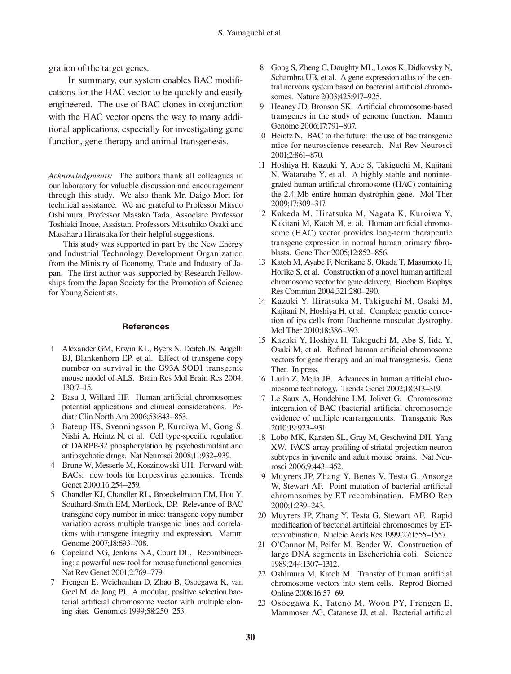gration of the target genes.

 In summary, our system enables BAC modifications for the HAC vector to be quickly and easily engineered. The use of BAC clones in conjunction with the HAC vector opens the way to many additional applications, especially for investigating gene function, gene therapy and animal transgenesis.

*Acknowledgments:* The authors thank all colleagues in our laboratory for valuable discussion and encouragement through this study. We also thank Mr. Daigo Mori for technical assistance. We are grateful to Professor Mitsuo Oshimura, Professor Masako Tada, Associate Professor Toshiaki Inoue, Assistant Professors Mitsuhiko Osaki and Masaharu Hiratsuka for their helpful suggestions.

This study was supported in part by the New Energy and Industrial Technology Development Organization from the Ministry of Economy, Trade and Industry of Japan. The first author was supported by Research Fellowships from the Japan Society for the Promotion of Science for Young Scientists.

#### **References**

- 1 Alexander GM, Erwin KL, Byers N, Deitch JS, Augelli BJ, Blankenhorn EP, et al. Effect of transgene copy number on survival in the G93A SOD1 transgenic mouse model of ALS. Brain Res Mol Brain Res 2004; 130:7–15.
- 2 Basu J, Willard HF. Human artificial chromosomes: potential applications and clinical considerations. Pediatr Clin North Am 2006;53:843–853.
- Bateup HS, Svenningsson P, Kuroiwa M, Gong S, Nishi A, Heintz N, et al. Cell type-specific regulation of DARPP-32 phosphorylation by psychostimulant and antipsychotic drugs. Nat Neurosci 2008;11:932–939.
- 4 Brune W, Messerle M, Koszinowski UH. Forward with BACs: new tools for herpesvirus genomics. Trends Genet 2000;16:254–259.
- 5 Chandler KJ, Chandler RL, Broeckelmann EM, Hou Y, Southard-Smith EM, Mortlock, DP. Relevance of BAC transgene copy number in mice: transgene copy number variation across multiple transgenic lines and correlations with transgene integrity and expression. Mamm Genome 2007;18:693–708.
- 6 Copeland NG, Jenkins NA, Court DL. Recombineering: a powerful new tool for mouse functional genomics. Nat Rev Genet 2001;2:769–779.
- 7 Frengen E, Weichenhan D, Zhao B, Osoegawa K, van Geel M, de Jong PJ. A modular, positive selection bacterial artificial chromosome vector with multiple cloning sites. Genomics 1999;58:250–253.
- 8 Gong S, Zheng C, Doughty ML, Losos K, Didkovsky N, Schambra UB, et al. A gene expression atlas of the central nervous system based on bacterial artificial chromosomes. Nature 2003;425:917–925.
- 9 Heaney JD, Bronson SK. Artificial chromosome-based transgenes in the study of genome function. Mamm Genome 2006;17:791–807.
- 10 Heintz N. BAC to the future: the use of bac transgenic mice for neuroscience research. Nat Rev Neurosci 2001;2:861–870.
- 11 Hoshiya H, Kazuki Y, Abe S, Takiguchi M, Kajitani N, Watanabe Y, et al. A highly stable and nonintegrated human artificial chromosome (HAC) containing the 2.4 Mb entire human dystrophin gene. Mol Ther 2009;17:309–317.
- 12 Kakeda M, Hiratsuka M, Nagata K, Kuroiwa Y, Kakitani M, Katoh M, et al. Human artificial chromosome (HAC) vector provides long-term therapeutic transgene expression in normal human primary fibroblasts. Gene Ther 2005;12:852–856.
- 13 Katoh M, Ayabe F, Norikane S, Okada T, Masumoto H, Horike S, et al. Construction of a novel human artificial chromosome vector for gene delivery. Biochem Biophys Res Commun 2004;321:280–290.
- 14 Kazuki Y, Hiratsuka M, Takiguchi M, Osaki M, Kajitani N, Hoshiya H, et al. Complete genetic correction of ips cells from Duchenne muscular dystrophy. Mol Ther 2010;18:386–393.
- 15 Kazuki Y, Hoshiya H, Takiguchi M, Abe S, Iida Y, Osaki M, et al. Refined human artificial chromosome vectors for gene therapy and animal transgenesis. Gene Ther. In press.
- 16 Larin Z, Mejia JE. Advances in human artificial chromosome technology. Trends Genet 2002;18:313–319.
- 17 Le Saux A, Houdebine LM, Jolivet G. Chromosome integration of BAC (bacterial artificial chromosome): evidence of multiple rearrangements. Transgenic Res 2010;19:923–931.
- 18 Lobo MK, Karsten SL, Gray M, Geschwind DH, Yang XW. FACS-array profiling of striatal projection neuron subtypes in juvenile and adult mouse brains. Nat Neurosci 2006;9:443–452.
- 19 Muyrers JP, Zhang Y, Benes V, Testa G, Ansorge W, Stewart AF. Point mutation of bacterial artificial chromosomes by ET recombination. EMBO Rep 2000;1:239–243.
- 20 Muyrers JP, Zhang Y, Testa G, Stewart AF. Rapid modification of bacterial artificial chromosomes by ETrecombination. Nucleic Acids Res 1999;27:1555–1557.
- 21 O'Connor M, Peifer M, Bender W. Construction of large DNA segments in Escherichia coli. Science 1989;244:1307–1312.
- 22 Oshimura M, Katoh M. Transfer of human artificial chromosome vectors into stem cells. Reprod Biomed Online 2008;16:57–69.
- 23 Osoegawa K, Tateno M, Woon PY, Frengen E, Mammoser AG, Catanese JJ, et al. Bacterial artificial